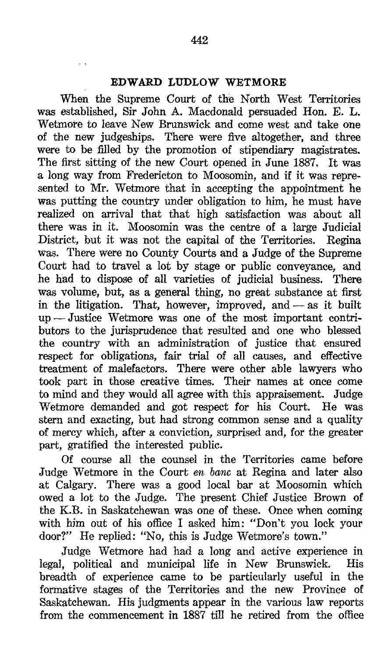## EDWARD LUDLOW WETMORE

When the Supreme Court of the North West Territories was established, Sir John A. Macdonald persuaded Hon. E. L. Wetmore to leave New Brunswick and come west and take one of the new judgeships. There were five altogether, and three were to be filled by the promotion of stipendiary magistrates. The first sitting of the new Court opened in June 1887. It was a long way from Fredericton to Moosomin, and if it was represented to Mr. Wetmore that in accepting the appointment he was putting the country under obligation to him, he must have realized on arrival that that high satisfaction was about all there was in it. Moosomin was the centre of a large Judicial District, but it was not the capital of the Territories. Regina District, but it was not the capital of the Territories. was. There were no County Courts and a Judge of the Supreme Court had to travel a lot by stage or public conveyance, and he had to dispose of all varieties of judicial business. There he had to dispose of all varieties of judicial business. was volume, but, as a general thing, no great substance at first in the litigation. That, however, improved, and  $-$  as it built up -Justice Wetmore was one of the most important contributors to the jurisprudence that resulted and one who blessed the country with an administration of justice that ensured respect for obligations, fair trial of all causes, and effective treatment of malefactors. There were other able lawyers who took part in those creative times. Their names at once come to mind and they would all agree with this appraisement. Judge Wetmore demanded and got respect for his Court. He was stern and exacting, but had strong common sense and a quality of mercy which, after a conviction, surprised and, for the greater part, gratified the interested public.

Of course all the counsel in the Territories came before Judge Wetmore in the Court en bane at Regina and later also at Calgary. There was a good local bar at Moosomin which owed a lot to the Judge. The present Chief Justice Brown of the K.B. in Saskatchewan was one of these. Once when coming with him out of his office I asked him: "Don't you lock your door?" He replied: "No, this is Judge Wetmore's town."

Judge Wetmore had had a long and active experience in legal, political and municipal life in New Brunswick. breadth of experience came to be particularly useful in the formative stages of the Territories and the new Province of Saskatchewan. His judgments appear in the various law reports from the commencement in 1887 till he retired from the office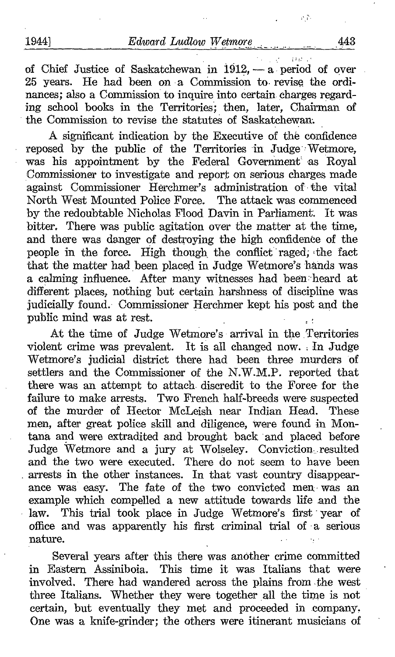of Chief Justice of Saskatchewan in 1912,  $-$  a period of over 25 years. He had been on a Commission to- revise the ordinances; also a Commission to inquire into certain charges regarding school books in the Territories; then, later, Chairman of the Commission to revise the statutes of Saskatchewan.

A significant indication by the Executive of the confidence reposed by the public of the Territories in Judge Wetmore, was his appointment by the Federal Government' as Royal Commissioner to investigate and report on serious charges made against Commissioner Herchmer's administration of the vital North West Mounted Police Force. The attack was commenced by the redoubtable Nicholas Flood Davin in Parliament. It was bitter. There was public agitation over the matter at the time, and there was danger of destroying the high confidence of the people in the force. High though the conflict raged, the fact that the matter had been placed in Judge Wetmore's hands was a calming influence. After many witnesses had been heard at different places, nothing but certain harshness of discipline was judicially found. Commissioner Herchmer kept his post and the public mind was at rest. \_

At the time of Judge Wetmore's arrival in the Territories violent crime was prevalent. It is all changed now. In Judge Wetmore's judicial district there had been three murders of settlers and the Commissioner of the N.W.M.P. reported that there was an attempt to attach. discredit to the Force for the failure to make arrests. Two French half-breeds were suspected of the murder of Hector McLeish near Indian Head. These of the murder of Hector McLeish near Indian Head. men, after great police skill and diligence, were found in Montana. and were extradited and brought back and placed before Judge Wetmore and a jury at Wolseley. Conviction resulted and the two were executed. There do not seem to have been . arrests in the other instances. In that vast country disappear ance was easy. The fate of the two convicted men- was an example which compelled a new attitude towards life and the law. This trial took place in Judge Wetmore's first vear of This trial took place in Judge Wetmore's first year of office and was apparently his first criminal trial of a serious nature.

Several years after this there was another crime committed<br>in Eastern Assiniboia. This time it was Italians that were This time it was Italians that were involved. There had wandered across the plains from .the west three Italians. Whether they were together all the time is not certain, but eventually they met and proceeded in company. One was a knife-grinder; the others were itinerant musicians of

 $\Delta$  ,  $\Delta$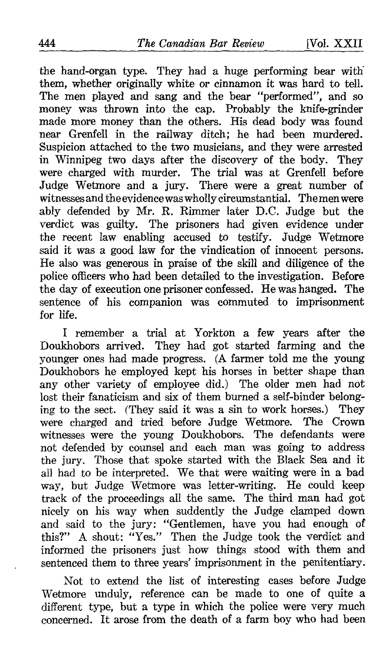the hand-organ type. They had a huge performing bear with them, whether originally white or cinnamon it was hard to tell. The men played and sang and the bear "performed", and so money was thrown into the cap. Probably the knife-grinder made more money than the others. His dead body was found near Grenfell in the railway ditch; he had been murdered. Suspicion attached to the two musicians, and they were arrested in Winnipeg two days after the discovery of the body. They were charged with murder. The trial was at Grenfell before Judge Wetmore and a jury. There were a great number of witnessesand theevidence was wholly circumstantial. Themenwere ably defended by Mr. R. Rimmer later D.C . Judge but the verdict was guilty. The prisoners had given evidence under the recent law enabling accused to testify. Judge Wetmore said it was a good law for the vindication of innocent persons. He also was generous in praise of the skill and diligence of the police officers who had been detailed to the investigation. Before the day of execution one prisoner confessed. He was hanged. The sentence of his companion was commuted to imprisonment for life.

<sup>I</sup> remember a trial at Yorkton a few years after the Doukhobors arrived. They had got started farming and the younger ones had made progress. (A farmer told me the young Doukhobors he employed kept his horses in better shape than any other variety of employee did.) The older men had not lost their fanaticism and six of them burned a self-binder belonging to the sect. (They said it was a sin to work horses.) They were charged and tried before Judge Wetmore. The Crown witnesses were the young Doukhobors. The defendants were not defended by counsel and each man was going to address the jury. Those that spoke started with the Black Sea and it all had to be interpreted. We that were waiting were in a bad way, but Judge Wetmore was letter-writing. He could keep track of the proceedings all the same. The third man had got nicely on his way when suddently the Judge clamped down and said to the jury: "Gentlemen, have you had enough of this?" A shout: "Yes." Then the Judge took the verdict and informed the prisoners just how things stood with them and sentenced them to three years' imprisonment in the penitentiary.

Not to extend the list of interesting cases before Judge Wetmore unduly, reference can be made to one of quite a different type, but a type in which the police were very much concerned. It arose from the death of a farm boy who had been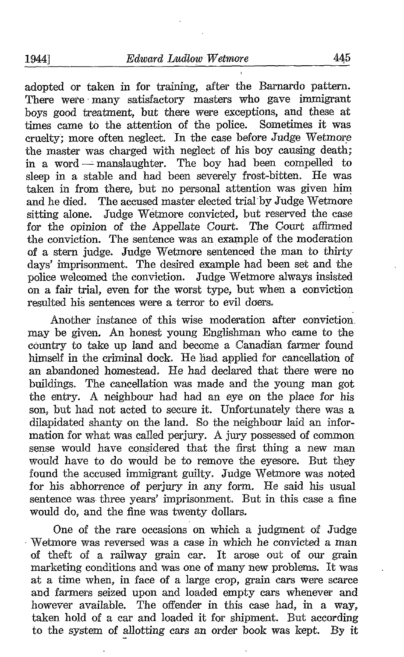adopted or taken in for training, after the Barnardo pattern. There were many satisfactory masters who gave immigrant boys good treatment, but there were exceptions, and these at times came to the attention of the police. Sometimes it was cruelty; more often neglect. In the case before Judge Wetmore the master was charged with neglect of his boy causing death ; in a word --- manslaughter. The boy had been compelled to sleep in a stable and had been severely frost-bitten. He was taken in from there, but no personal attention was given him and he died. The accused master elected trial by Judge Wetmore sitting alone. Judge Wetmore convicted, but reserved the case for the opinion of the Appellate Court. The Court affirmed the conviction. The sentence was an example of the moderation of a stern judge. Judge Wetmore sentenced the man to thirty days' imprisonment. The desired example had been set and the police welcomed the conviction. Judge Wetmore always insisted on a fair trial, even for the worst type, but when a conviction resulted his sentences were a terror to evil doers.

Another instance of this wise moderation after conviction, may be given. An honest young Englishman who came to the country to take up land and become a Canadian farmer found himself in the criminal dock. He had applied for cancellation of an abandoned homestead. He had declared that there were no buildings. The cancellation was made and the young man got the entry. A neighbour had had an eye on the place for his son, but had not acted to secure it. Unfortunately there was a dilapidated shanty on the land. So the neighbour laid an information for what was called perjury. A jury possessed of common sense would have considered that the first thing a new man would have to do would be to remove the eyesore. But they found the accused immigrant guilty. Judge Wetmore was noted for his abhorrence of perjury in any form. He said his usual sentence was- three years' imprisonment. But in this case a fine would do, and the fine was twenty dollars.

One of the rare occasions on which a judgment of Judge Wetmore was reversed was a case in which he convicted a man of theft of a railway grain car. It arose out of our grain marketing conditions and was one of many new problems. It was at a time when, in face of a large crop, grain cars were scarce and farmers seized upon and loaded empty cars whenever and however available. The offender in this case had, in a way, taken hold of a car and loaded it for shipment. But according to the system of allotting cars an order book was kept. By it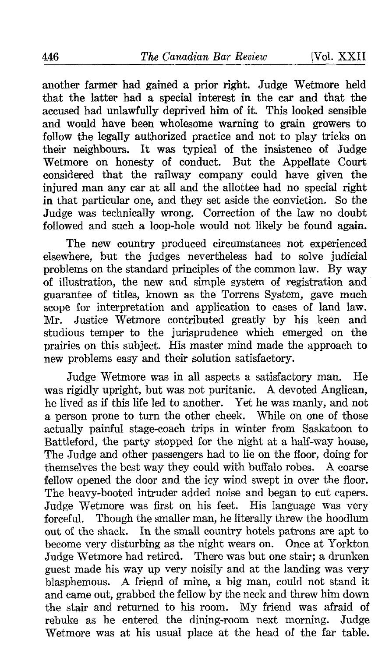another farmer had gained a prior right. Judge Wetmore held that the latter had a special interest in the car and that the accused had unlawfully deprived him of it. This looked sensible and would have been wholesome warning to grain growers to follow the legally authorized practice and not to play tricks on their neighbours. It was typical of the insistence of Judge Wetmore on honesty of conduct. But the Appellate Court considered that the railway company could have given the injured man any car at all and the allottee had no special right in that particular one, and they set aside the conviction . So the Judge was technically wrong. Correction of the law no doubt followed and such a loop-hole would not likely be found again.

The new country produced circumstances not experienced elsewhere, but the judges nevertheless had to solve judicial problems on the standard principles of the common law. By way of illustration, the new and simple system of registration and guarantee of titles, known as the Torrens System, gave much scope for interpretation and application to cases of land law. Mr. Justice Wetmore contributed greatly by his keen and studious temper to the jurisprudence which emerged on the prairies on this subject. His master mind made the approach to new problems easy and their solution satisfactory.

Judge Wetmore was in all aspects a satisfactory man. He was rigidly upright, but was not puritanic. A devoted Anglican, he lived as if this life led to another. Yet he was manly, and not<br>a person prone to turn the other cheek. While on one of those a person prone to turn the other cheek. actually painful stage-coach trips in winter from Saskatoon to Battleford, the party stopped for the night at a half-way house, The Judge and other passengers had to lie on the floor, doing for themselves the best way they could with buffalo robes. A coarse themselves the best way they could with buffalo robes. fellow opened the door and the icy wind swept in over the floor. The heavy-booted intruder added noise and began to cut capers. Judge Wetmore was first on his feet. His language was very forceful. Though the smaller man, he literally threw the hoodlum out of the shack. In the small country hotels patrons are apt to become very disturbing as the night wears on. Once at Yorkton Judge Wetmore had retired. There was but one stair; a drunken guest made his way up very noisily and at the landing was very blasphemous. A friend of mine, <sup>a</sup> big man, could not stand it and came out, grabbed the fellow by the neck and threw him down<br>the stair and returned to his room. My friend was afraid of the stair and returned to his room. My friend was afraid of rebuke as he entered the dining-room next morning. Judge rebuke as he entered the dining-room next morning. Wetmore was at his usual place at the head of the far table.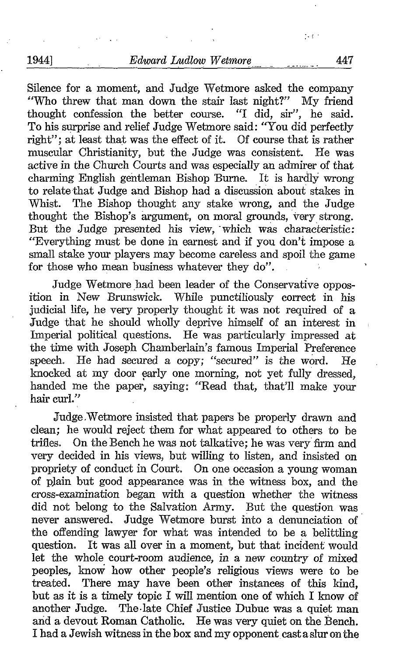Silence for <sup>a</sup> moment, and Judge Wetmore asked the company "Who threw that man down the stair last night?" My friend thought confession the better course. "I did, sir", he said. To his surprise and relief Judge Wetmore said: "You did perfectly right"; at least that was the effect of it. Of course that is rather muscular Christianity, but the Judge was consistent. He was muscular Christianity, but the Judge was consistent. active in the Church Courts and was especially an admirer of that charming English gentleman Bishop Burne. It is hardly wrong to relate that Judge and Bishop had a discussion about stakes in Whist. The Bishop thought any stake wrong, and the Judge thought the Bishop's argument, on moral grounds, very strong. But the Judge presented his view, which was characteristic: "Everything must be done in earnest and if you don't impose a small stake your players may become careless and spoil the game for those who mean business whatever they do".

Judge Wetmore had been leader of the Conservative opposition in New Brunswick. While punctiliously correct in his judicial life, he very properly thought it was not required of a Judge that he should wholly deprive himself of an interest in Imperial political questions. He was particularly impressed at the time with Joseph Chamberlain's famous Imperial Preference<br>speech. He had secured a copy: "secured" is the word. He speech. He had secured a copy; "secured" is the word. knocked at my door early one morning, not yet fully dressed, handed me the paper, saying: "Read that, that'll make your hair curl."

Judge,Wetmore insisted that papers be properly drawn and clean; he would reject them for what appeared to others to be trifles. On the Bench he was not talkative; he was very firm and On the Bench he was not talkative; he was very firm and very decided in his views, but willing to listen, and insisted on propriety of conduct in Court. On one occasion a young woman of plain but good appearance was in the witness box, and the cross-examination began with a question whether the witness did not belong to the Salvation Army. But the question was never answered. Judge Wetmore burst into a denunciation of the offending lawyer for what was intended to be a belittling question. It was all over in a moment, but that incident would let the whole court-room audience, in a new country of mixed peoples, know how other people's religious views were to be treated. There may have been other instances of this kind, but as it is a timely topic I will mention one of which I know of another Judge. The late Chief Justice Dubuc was a quiet man The-late Chief Justice Dubuc was a quiet man and a devout Roman Catholic. He was very quiet on the Bench. <sup>I</sup> had <sup>a</sup> Jewish witness in the box and my opponent casta sluron the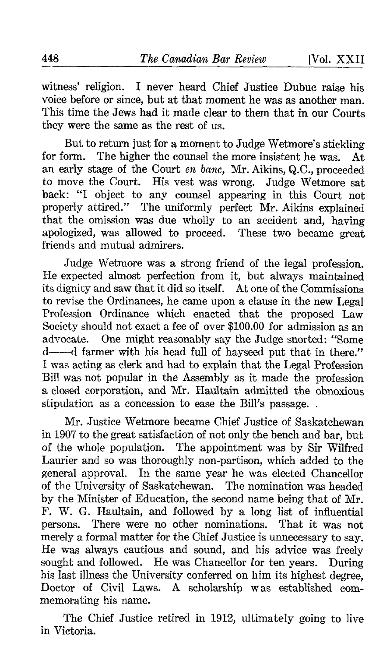witness' religion. I never heard Chief Justice Dubuc raise his voice before or since, but at that moment he was as another man. This time the Jews had it made clear to them that in our Courts they were the same as the rest of us.

But to return just for a moment to Judge Wetmore's stickling<br>orm. The higher the counsel the more insistent he was. At for form. The higher the counsel the more insistent he was. an early stage of the Court en bane, Mr. Aikins, Q.C., proceeded to move the Court. His vest was wrong. Judge Wetmore sat back: "I object to any counsel appearing in this Court not properly attired." The uniformly perfect Mr. Aikins explained that the omission was due wholly to an accident and, having apologized, was allowed to proceed. These two became great friends and mutual admirers.

Judge Wetmore was a strong friend of the legal profession. He expected almost perfection from it, but always maintained its dignity and saw that it did so itself. At one of the Commissions to revise the Ordinances, he came upon a clause in the new Legal Profession Ordinance which enacted that the proposed Law Society should not exact a fee of over \$100.00 for admission as an advocate. One might reasonably say the Judge snorted: "Some d---d farmer with his head full of hayseed put that in there." I was acting as clerk and had to explain that the Legal Profession Bill was not popular in the Assembly as it made the profession a closed corporation, and Mr. Haultain admitted the obnoxious stipulation as a concession to ease the Bill's passage. .

Mr. Justice Wetmore became Chief Justice of Saskatchewan in 1907 to the great satisfaction of not only the bench and bar, but of the whole population. The appointment was by Sir Wilfred Laurier and so was thoroughly non-partison, which added to the general approval. In the same year he was elected Chancellor of the University of Saskatchewan. The nomination was headed by the Minister of Education, the second name being that of Mr. F. W. G. Haultain, and followed by <sup>a</sup> long list of influential There were no other nominations. That it was not merely a formal matter for the Chief Justice is unnecessary to say. He was always cautious and sound, and his advice was freely sought and followed. He was Chancellor for ten years. During his last illness the University conferred on him its highest degree, Doctor of Civil Laws. A scholarship was established commemorating his name.

The Chief Justice retired in 1912, ultimately going to live in Victoria.